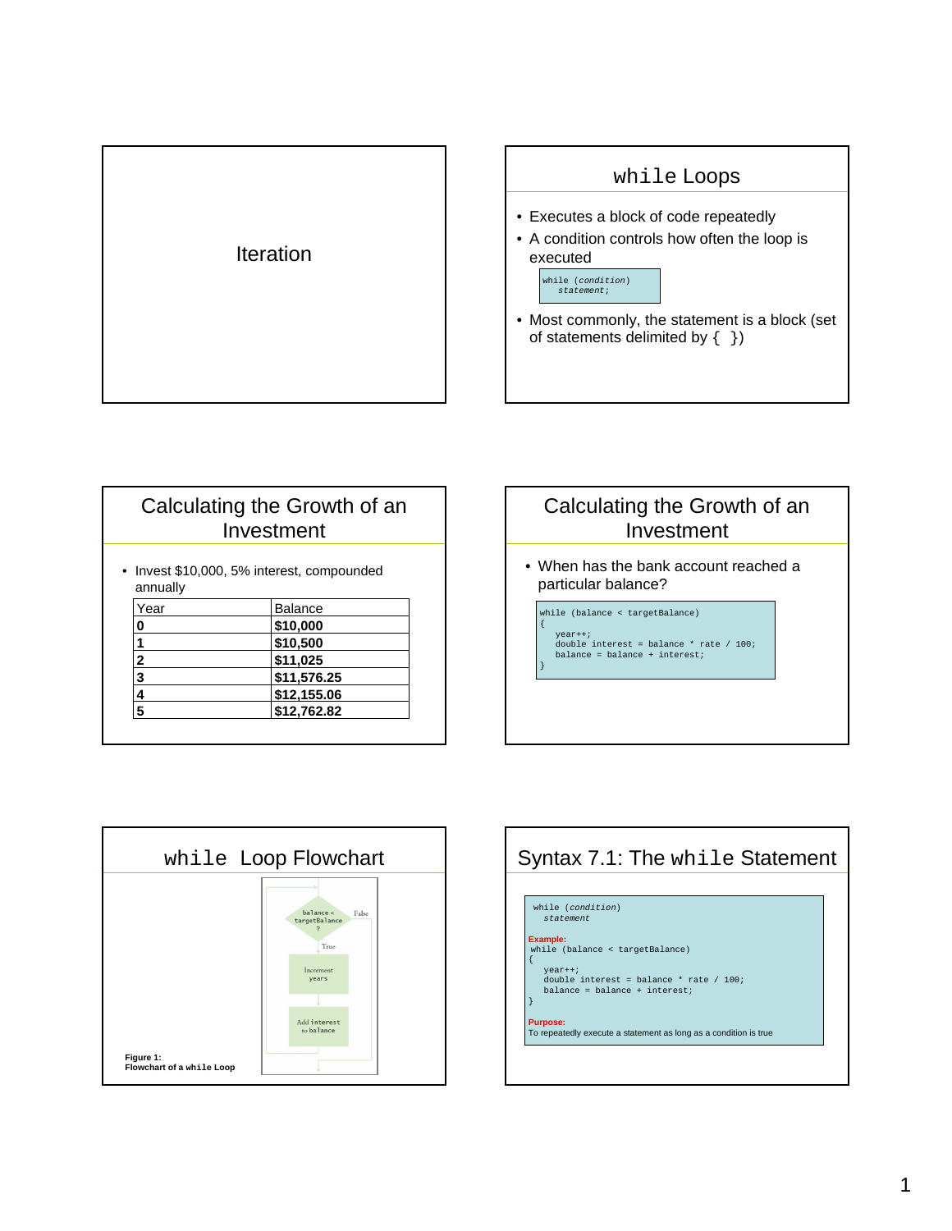

#### while Loops

- Executes a block of code repeatedly
- A condition controls how often the loop is executed

while (*condition*) statement;

• Most commonly, the statement is a block (set of statements delimited by  $\{-\}$ )

#### Calculating the Growth of an Investment • Invest \$10,000, 5% interest, compounded annually **3 \$11,576.25 2 \$11,025 1 \$10,500 0 \$10,000** Year **Balance**

**4 \$12,155.06 5 \$12,762.82**

## Calculating the Growth of an Investment

• When has the bank account reached a particular balance?

while (balance < targetBalance) year++;

{

}

double interest = balance \* rate / 100; balance = balance + interest;



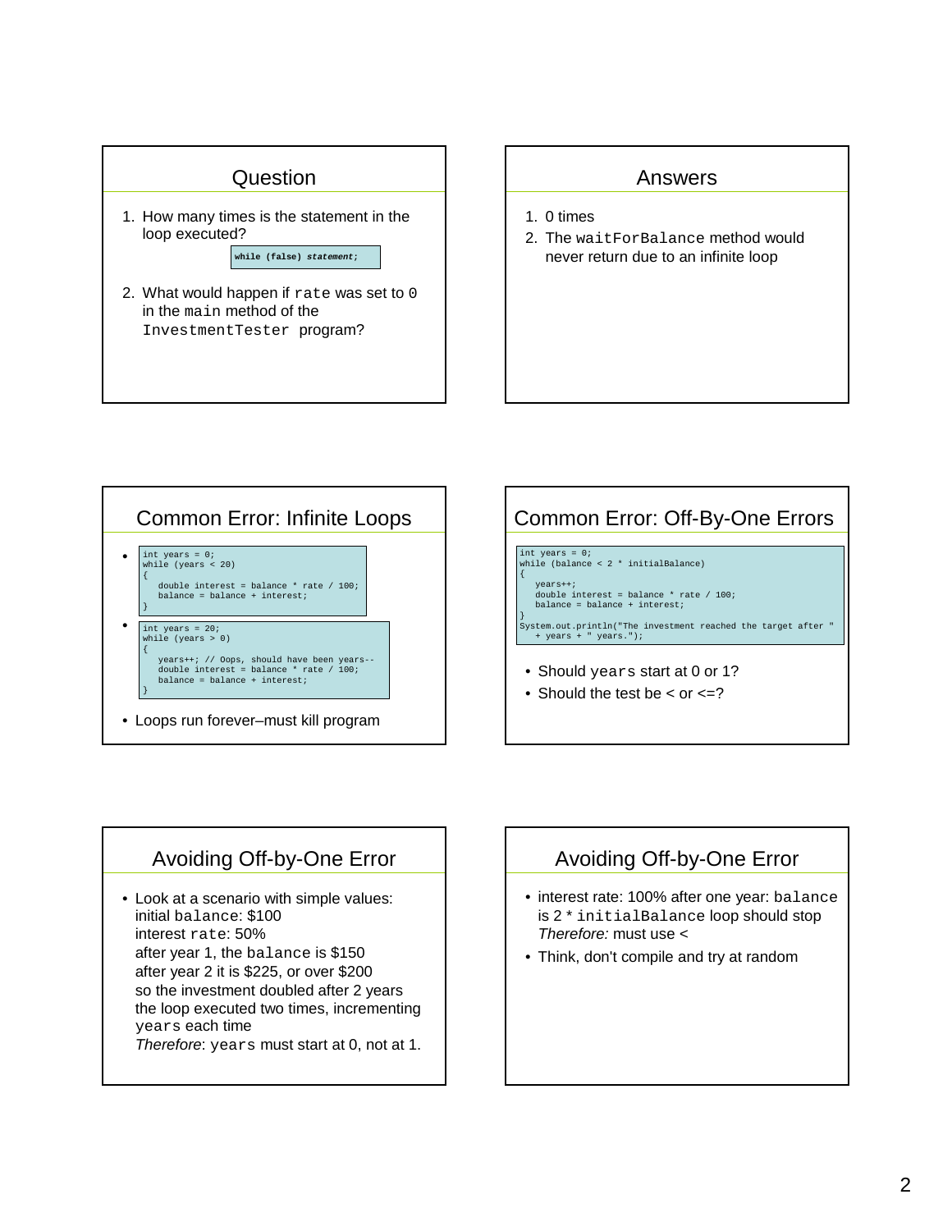

#### Answers

- 1. 0 times
- 2. The waitForBalance method would never return due to an infinite loop





### Avoiding Off-by-One Error

• Look at a scenario with simple values: initial balance: \$100 interest rate: 50% after year 1, the balance is \$150 after year 2 it is \$225, or over \$200 so the investment doubled after 2 years the loop executed two times, incrementing years each time Therefore: years must start at 0, not at 1.



- interest rate: 100% after one year: balance is 2 \* initialBalance loop should stop Therefore: must use <
- Think, don't compile and try at random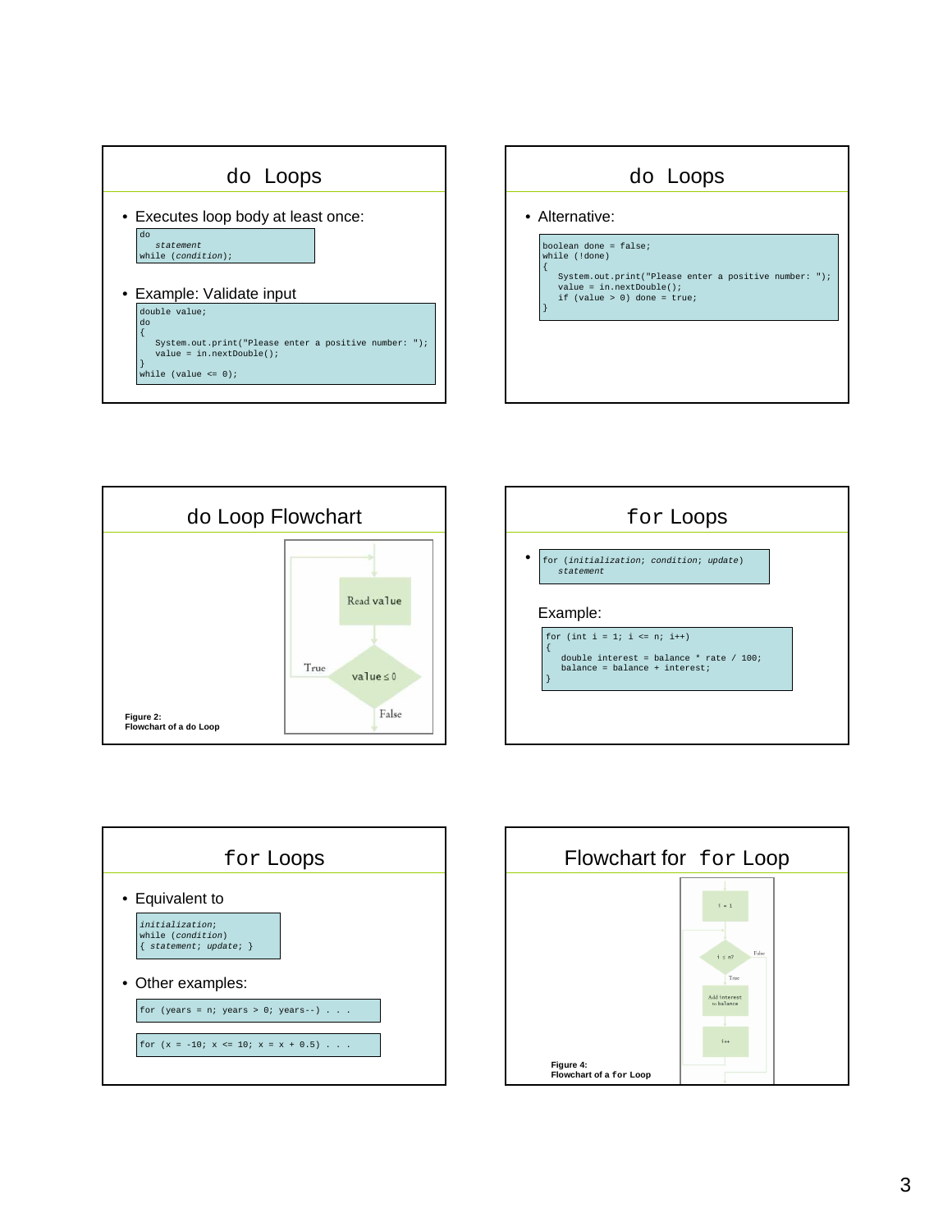









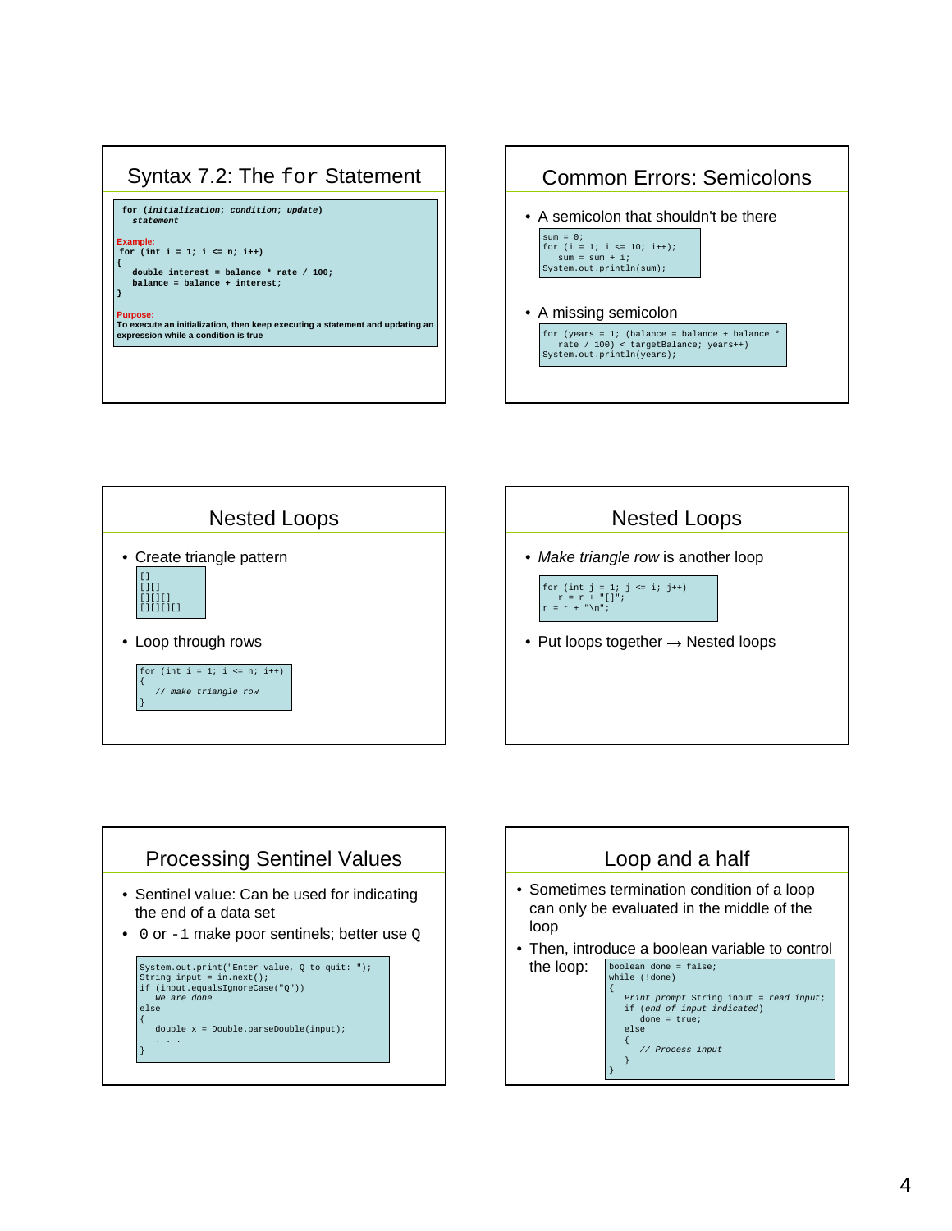